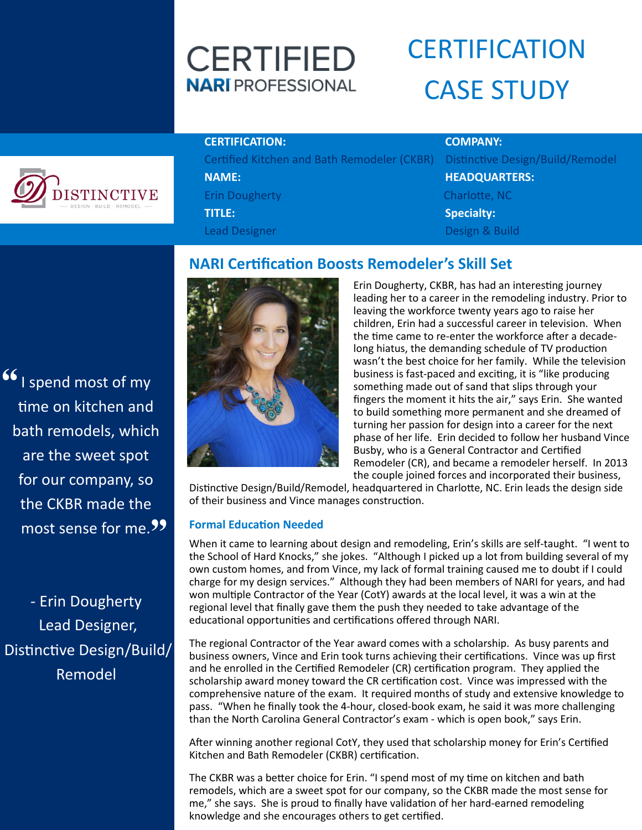## **CERTIFIED NARI** PROFESSIONAL

# **CERTIFICATION** CASE STUDY

# **ISTINCTIVE**

#### **CERTIFICATION: COMPANY:**

Certified Kitchen and Bath Remodeler (CKBR) Distinctive Design/Build/Remodel **NAME: HEADQUARTERS:** Erin Dougherty Charlotte, NC **TITLE: Specialty:** Lead Designer Designer Design & Build

" I spend most of my  $\left( 99 \right)$ time on kitchen and bath remodels, which are the sweet spot for our company, so the CKBR made the most sense for me.

- Erin Dougherty Lead Designer, Distinctive Design/Build/ Remodel

### **NARI Certification Boosts Remodeler's Skill Set**



Erin Dougherty, CKBR, has had an interesting journey leading her to a career in the remodeling industry. Prior to leaving the workforce twenty years ago to raise her children, Erin had a successful career in television. When the time came to re-enter the workforce after a decadelong hiatus, the demanding schedule of TV production wasn't the best choice for her family. While the television business is fast-paced and exciting, it is "like producing something made out of sand that slips through your fingers the moment it hits the air," says Erin. She wanted to build something more permanent and she dreamed of turning her passion for design into a career for the next phase of her life. Erin decided to follow her husband Vince Busby, who is a General Contractor and Certified Remodeler (CR), and became a remodeler herself. In 2013 the couple joined forces and incorporated their business,

Distinctive Design/Build/Remodel, headquartered in Charlotte, NC. Erin leads the design side of their business and Vince manages construction.

#### **Formal Education Needed**

When it came to learning about design and remodeling, Erin's skills are self-taught. "I went to the School of Hard Knocks," she jokes. "Although I picked up a lot from building several of my own custom homes, and from Vince, my lack of formal training caused me to doubt if I could charge for my design services." Although they had been members of NARI for years, and had won multiple Contractor of the Year (CotY) awards at the local level, it was a win at the regional level that finally gave them the push they needed to take advantage of the educational opportunities and certifications offered through NARI.

The regional Contractor of the Year award comes with a scholarship. As busy parents and business owners, Vince and Erin took turns achieving their certifications. Vince was up first and he enrolled in the Certified Remodeler (CR) certification program. They applied the scholarship award money toward the CR certification cost. Vince was impressed with the comprehensive nature of the exam. It required months of study and extensive knowledge to pass. "When he finally took the 4-hour, closed-book exam, he said it was more challenging than the North Carolina General Contractor's exam - which is open book," says Erin.

After winning another regional CotY, they used that scholarship money for Erin's Certified Kitchen and Bath Remodeler (CKBR) certification.

The CKBR was a better choice for Erin. "I spend most of my time on kitchen and bath remodels, which are a sweet spot for our company, so the CKBR made the most sense for me," she says. She is proud to finally have validation of her hard-earned remodeling knowledge and she encourages others to get certified.